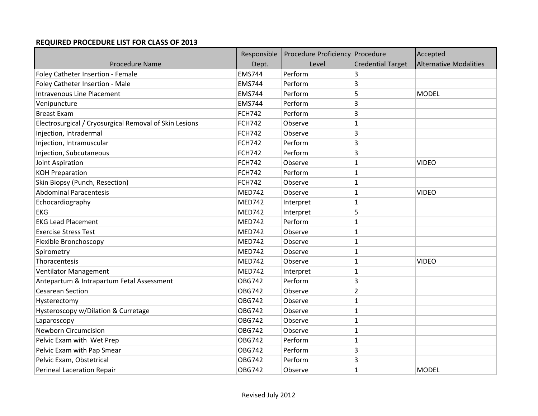## **REQUIRED PROCEDURE LIST FOR CLASS OF 2013**

|                                                        | Responsible   | Procedure Proficiency Procedure |                          | Accepted                      |
|--------------------------------------------------------|---------------|---------------------------------|--------------------------|-------------------------------|
| <b>Procedure Name</b>                                  | Dept.         | Level                           | <b>Credential Target</b> | <b>Alternative Modalities</b> |
| Foley Catheter Insertion - Female                      | <b>EMS744</b> | Perform                         | 3                        |                               |
| Foley Catheter Insertion - Male                        | <b>EMS744</b> | Perform                         | 3                        |                               |
| <b>Intravenous Line Placement</b>                      | <b>EMS744</b> | Perform                         | 5                        | <b>MODEL</b>                  |
| Venipuncture                                           | <b>EMS744</b> | Perform                         | 3                        |                               |
| <b>Breast Exam</b>                                     | <b>FCH742</b> | Perform                         | 3                        |                               |
| Electrosurgical / Cryosurgical Removal of Skin Lesions | <b>FCH742</b> | Observe                         | 1                        |                               |
| Injection, Intradermal                                 | <b>FCH742</b> | Observe                         | 3                        |                               |
| Injection, Intramuscular                               | <b>FCH742</b> | Perform                         | 3                        |                               |
| Injection, Subcutaneous                                | <b>FCH742</b> | Perform                         | 3                        |                               |
| Joint Aspiration                                       | <b>FCH742</b> | Observe                         | 1                        | <b>VIDEO</b>                  |
| <b>KOH Preparation</b>                                 | <b>FCH742</b> | Perform                         | 1                        |                               |
| Skin Biopsy (Punch, Resection)                         | <b>FCH742</b> | Observe                         | 1                        |                               |
| <b>Abdominal Paracentesis</b>                          | <b>MED742</b> | Observe                         | 1                        | <b>VIDEO</b>                  |
| Echocardiography                                       | <b>MED742</b> | Interpret                       | $\mathbf{1}$             |                               |
| <b>EKG</b>                                             | <b>MED742</b> | Interpret                       | 5                        |                               |
| <b>EKG Lead Placement</b>                              | <b>MED742</b> | Perform                         | 1                        |                               |
| <b>Exercise Stress Test</b>                            | <b>MED742</b> | Observe                         | 1                        |                               |
| Flexible Bronchoscopy                                  | <b>MED742</b> | Observe                         | 1                        |                               |
| Spirometry                                             | <b>MED742</b> | Observe                         | 1                        |                               |
| Thoracentesis                                          | <b>MED742</b> | Observe                         | $\mathbf 1$              | <b>VIDEO</b>                  |
| Ventilator Management                                  | <b>MED742</b> | Interpret                       | 1                        |                               |
| Antepartum & Intrapartum Fetal Assessment              | <b>OBG742</b> | Perform                         | 3                        |                               |
| <b>Cesarean Section</b>                                | <b>OBG742</b> | Observe                         | 2                        |                               |
| Hysterectomy                                           | <b>OBG742</b> | Observe                         | $\mathbf{1}$             |                               |
| Hysteroscopy w/Dilation & Curretage                    | <b>OBG742</b> | Observe                         | 1                        |                               |
| Laparoscopy                                            | <b>OBG742</b> | Observe                         | 1                        |                               |
| <b>Newborn Circumcision</b>                            | <b>OBG742</b> | Observe                         | 1                        |                               |
| Pelvic Exam with Wet Prep                              | <b>OBG742</b> | Perform                         | $\mathbf 1$              |                               |
| Pelvic Exam with Pap Smear                             | <b>OBG742</b> | Perform                         | 3                        |                               |
| Pelvic Exam, Obstetrical                               | <b>OBG742</b> | Perform                         | 3                        |                               |
| <b>Perineal Laceration Repair</b>                      | <b>OBG742</b> | Observe                         | $\mathbf{1}$             | <b>MODEL</b>                  |